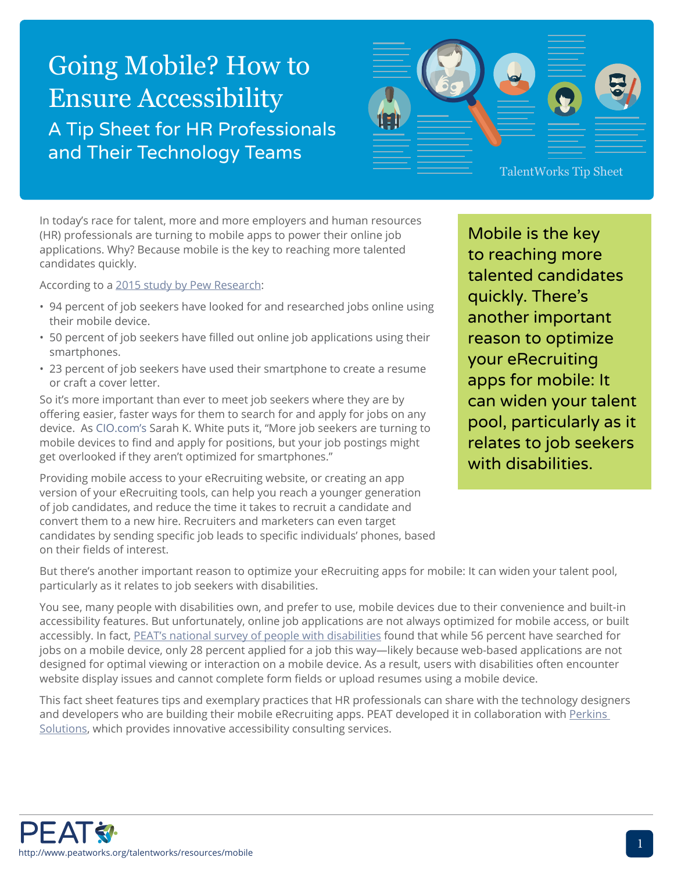# Going Mobile? How to Ensure Accessibility A Tip Sheet for HR Professionals and Their Technology Teams



In today's race for talent, more and more employers and human resources (HR) professionals are turning to mobile apps to power their online job applications. Why? Because mobile is the key to reaching more talented candidates quickly.

According to a [2015 study by Pew Research](http://www.pewinternet.org/2015/11/19/searching-for-work-in-the-digital-era/):

- 94 percent of job seekers have looked for and researched jobs online using their mobile device.
- 50 percent of job seekers have filled out online job applications using their smartphones.
- 23 percent of job seekers have used their smartphone to create a resume or craft a cover letter.

So it's more important than ever to meet job seekers where they are by offering easier, faster ways for them to search for and apply for jobs on any device. As [CIO.com's](http://www.cio.com/article/3012275/hiring/why-you-need-a-mobile-hiring-strategy.html) Sarah K. White puts it, "More job seekers are turning to mobile devices to find and apply for positions, but your job postings might get overlooked if they aren't optimized for smartphones."

Providing mobile access to your eRecruiting website, or creating an app version of your eRecruiting tools, can help you reach a younger generation of job candidates, and reduce the time it takes to recruit a candidate and convert them to a new hire. Recruiters and marketers can even target candidates by sending specific job leads to specific individuals' phones, based on their fields of interest.

Mobile is the key to reaching more talented candidates quickly. There's another important reason to optimize your eRecruiting apps for mobile: It can widen your talent pool, particularly as it relates to job seekers with disabilities.

But there's another important reason to optimize your eRecruiting apps for mobile: It can widen your talent pool, particularly as it relates to job seekers with disabilities.

You see, many people with disabilities own, and prefer to use, mobile devices due to their convenience and built-in accessibility features. But unfortunately, online job applications are not always optimized for mobile access, or built accessibly. In fact, [PEAT's national survey of people with disabilities](http://www.peatworks.org/talentworks/resources/survey-report) found that while 56 percent have searched for jobs on a mobile device, only 28 percent applied for a job this way—likely because web-based applications are not designed for optimal viewing or interaction on a mobile device. As a result, users with disabilities often encounter website display issues and cannot complete form fields or upload resumes using a mobile device.

This fact sheet features tips and exemplary practices that HR professionals can share with the technology designers and developers who are building their mobile eRecruiting apps. PEAT developed it in collaboration with Perkins [Solutions](http://www.perkins.org/solutions), which provides innovative accessibility consulting services.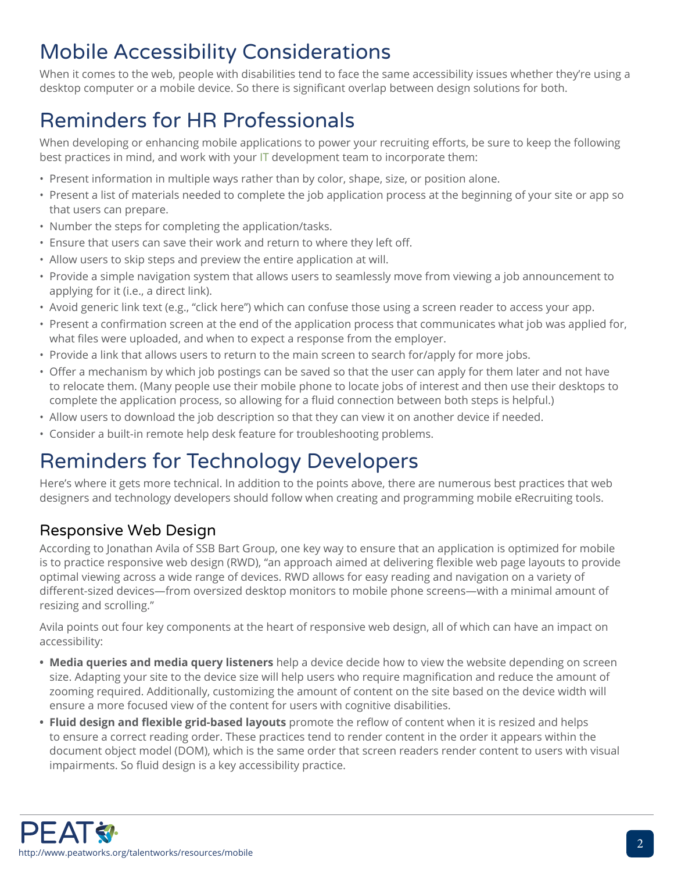# Mobile Accessibility Considerations

When it comes to the web, people with disabilities tend to face the same accessibility issues whether they're using a desktop computer or a mobile device. So there is significant overlap between design solutions for both.

# Reminders for HR Professionals

When developing or enhancing mobile applications to power your recruiting efforts, be sure to keep the following best practices in mind, and work with your [IT](http://www.peatworks.org/glossary#Information_and_communication_technologies) development team to incorporate them:

- Present information in multiple ways rather than by color, shape, size, or position alone.
- Present a list of materials needed to complete the job application process at the beginning of your site or app so that users can prepare.
- Number the steps for completing the application/tasks.
- Ensure that users can save their work and return to where they left off.
- Allow users to skip steps and preview the entire application at will.
- Provide a simple navigation system that allows users to seamlessly move from viewing a job announcement to applying for it (i.e., a direct link).
- Avoid generic link text (e.g., "click here") which can confuse those using a screen reader to access your app.
- Present a confirmation screen at the end of the application process that communicates what job was applied for, what files were uploaded, and when to expect a response from the employer.
- Provide a link that allows users to return to the main screen to search for/apply for more jobs.
- Offer a mechanism by which job postings can be saved so that the user can apply for them later and not have to relocate them. (Many people use their mobile phone to locate jobs of interest and then use their desktops to complete the application process, so allowing for a fluid connection between both steps is helpful.)
- Allow users to download the job description so that they can view it on another device if needed.
- Consider a built-in remote help desk feature for troubleshooting problems.

# Reminders for Technology Developers

Here's where it gets more technical. In addition to the points above, there are numerous best practices that web designers and technology developers should follow when creating and programming mobile eRecruiting tools.

### Responsive Web Design

According to Jonathan Avila of SSB Bart Group, one key way to ensure that an application is optimized for mobile is to practice responsive web design (RWD), "an approach aimed at delivering flexible web page layouts to provide optimal viewing across a wide range of devices. RWD allows for easy reading and navigation on a variety of different-sized devices—from oversized desktop monitors to mobile phone screens—with a minimal amount of resizing and scrolling."

Avila points out four key components at the heart of responsive web design, all of which can have an impact on accessibility:

- **• Media queries and media query listeners** help a device decide how to view the website depending on screen size. Adapting your site to the device size will help users who require magnification and reduce the amount of zooming required. Additionally, customizing the amount of content on the site based on the device width will ensure a more focused view of the content for users with cognitive disabilities.
- **• Fluid design and flexible grid-based layouts** promote the reflow of content when it is resized and helps to ensure a correct reading order. These practices tend to render content in the order it appears within the document object model (DOM), which is the same order that screen readers render content to users with visual impairments. So fluid design is a key accessibility practice.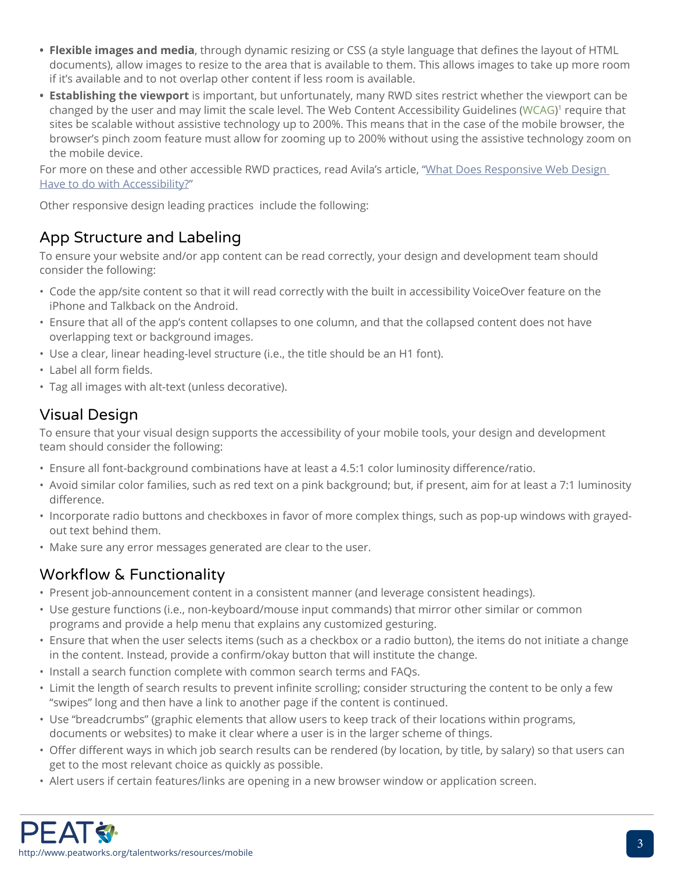- **• Flexible images and media**, through dynamic resizing or CSS (a style language that defines the layout of HTML documents), allow images to resize to the area that is available to them. This allows images to take up more room if it's available and to not overlap other content if less room is available.
- **• Establishing the viewport** is important, but unfortunately, many RWD sites restrict whether the viewport can be changed by the user and may limit the scale level. The Web Content Accessibility Guidelines ([WCAG](http://www.peatworks.org/glossary#WCAG)) <sup>1</sup> require that sites be scalable without assistive technology up to 200%. This means that in the case of the mobile browser, the browser's pinch zoom feature must allow for zooming up to 200% without using the assistive technology zoom on the mobile device.

For more on these and other accessible RWD practices, read Avila's article, "What Does Responsive Web Design [Have to do with Accessibility?"](http://www.ssbbartgroup.com/blog/what-does-responsive-web-design-have-to-do-with-accessibility/)

Other responsive design leading practices include the following:

### App Structure and Labeling

To ensure your website and/or app content can be read correctly, your design and development team should consider the following:

- Code the app/site content so that it will read correctly with the built in accessibility VoiceOver feature on the iPhone and Talkback on the Android.
- Ensure that all of the app's content collapses to one column, and that the collapsed content does not have overlapping text or background images.
- Use a clear, linear heading-level structure (i.e., the title should be an H1 font).
- Label all form fields.
- Tag all images with alt-text (unless decorative).

### Visual Design

To ensure that your visual design supports the accessibility of your mobile tools, your design and development team should consider the following:

- Ensure all font-background combinations have at least a 4.5:1 color luminosity difference/ratio.
- Avoid similar color families, such as red text on a pink background; but, if present, aim for at least a 7:1 luminosity difference.
- Incorporate radio buttons and checkboxes in favor of more complex things, such as pop-up windows with grayedout text behind them.
- Make sure any error messages generated are clear to the user.

### Workflow & Functionality

- Present job-announcement content in a consistent manner (and leverage consistent headings).
- Use gesture functions (i.e., non-keyboard/mouse input commands) that mirror other similar or common programs and provide a help menu that explains any customized gesturing.
- Ensure that when the user selects items (such as a checkbox or a radio button), the items do not initiate a change in the content. Instead, provide a confirm/okay button that will institute the change.
- Install a search function complete with common search terms and FAQs.
- Limit the length of search results to prevent infinite scrolling; consider structuring the content to be only a few "swipes" long and then have a link to another page if the content is continued.
- Use "breadcrumbs" (graphic elements that allow users to keep track of their locations within programs, documents or websites) to make it clear where a user is in the larger scheme of things.
- Offer different ways in which job search results can be rendered (by location, by title, by salary) so that users can get to the most relevant choice as quickly as possible.
- Alert users if certain features/links are opening in a new browser window or application screen.